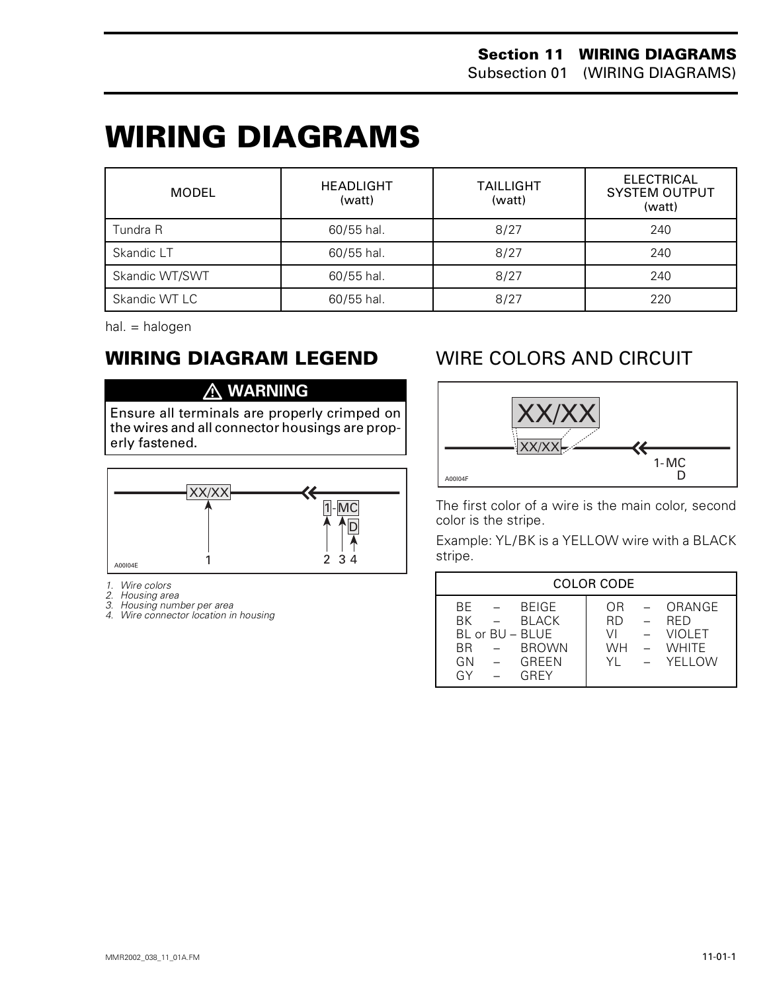## **WIRING DIAGRAMS 0**

| MODEL          | <b>HEADLIGHT</b><br>(watt) | <b>TAILLIGHT</b><br>(watt) | <b>ELECTRICAL</b><br><b>SYSTEM OUTPUT</b><br>(watt) |
|----------------|----------------------------|----------------------------|-----------------------------------------------------|
| Tundra R       | 60/55 hal.                 | 8/27                       | 240                                                 |
| Skandic LT     | 60/55 hal.                 | 8/27                       | 240                                                 |
| Skandic WT/SWT | 60/55 hal.                 | 8/27                       | 240                                                 |
| Skandic WT LC  | 60/55 hal.                 | 8/27                       | 220                                                 |

hal. = halogen

#### **WIRING DIAGRAM LEGEND**

#### **WARNING**

Ensure all terminals are properly crimped on the wires and all connector housings are properly fastened.



*1. Wire colors*

- 
- *2. Housing area 3. Housing number per area*
- *4. Wire connector location in housing*

#### WIRE COLORS AND CIRCUIT



The first color of a wire is the main color, second color is the stripe.

Example: YL/BK is a YELLOW wire with a BLACK stripe.

| <b>COLOR CODE</b>                                                                                                 |                                                                                                                                |  |  |  |
|-------------------------------------------------------------------------------------------------------------------|--------------------------------------------------------------------------------------------------------------------------------|--|--|--|
| <b>BEIGE</b><br>BF.<br>RK.<br>BI ACK<br>BL or BU - BLUE<br><b>BROWN</b><br><b>BR</b><br>GREEN<br>GN<br>GY<br>GRFY | ORANGE<br>OR.<br>$\sim$<br>RD.<br><b>RFD</b><br><b>VIOLET</b><br>VI<br><b>WHITE</b><br><b>WH</b><br>$\sim$<br>$-$ YFILOW<br>YL |  |  |  |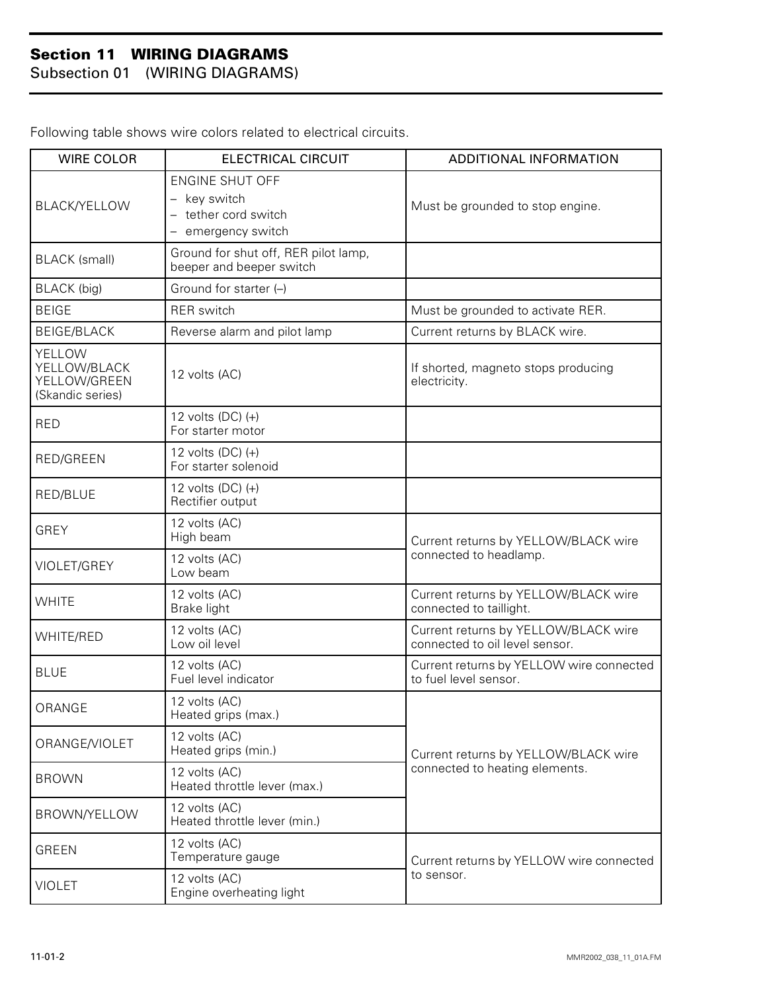Subsection 01 (WIRING DIAGRAMS)

| <b>WIRE COLOR</b>                                          | <b>ELECTRICAL CIRCUIT</b>                                                          | ADDITIONAL INFORMATION                                                 |  |
|------------------------------------------------------------|------------------------------------------------------------------------------------|------------------------------------------------------------------------|--|
| <b>BLACK/YELLOW</b>                                        | <b>ENGINE SHUT OFF</b><br>key switch<br>- tether cord switch<br>- emergency switch | Must be grounded to stop engine.                                       |  |
| <b>BLACK</b> (small)                                       | Ground for shut off, RER pilot lamp,<br>beeper and beeper switch                   |                                                                        |  |
| <b>BLACK</b> (big)                                         | Ground for starter (-)                                                             |                                                                        |  |
| <b>BEIGE</b>                                               | <b>RER</b> switch                                                                  | Must be grounded to activate RER.                                      |  |
| <b>BEIGE/BLACK</b>                                         | Reverse alarm and pilot lamp                                                       | Current returns by BLACK wire.                                         |  |
| YELLOW<br>YELLOW/BLACK<br>YELLOW/GREEN<br>(Skandic series) | 12 volts (AC)                                                                      | If shorted, magneto stops producing<br>electricity.                    |  |
| <b>RED</b>                                                 | 12 volts $(DC)$ $(+)$<br>For starter motor                                         |                                                                        |  |
| RED/GREEN                                                  | 12 volts $(DC)$ $(+)$<br>For starter solenoid                                      |                                                                        |  |
| RED/BLUE                                                   | 12 volts $(DC)$ $(+)$<br>Rectifier output                                          |                                                                        |  |
| <b>GREY</b>                                                | 12 volts (AC)<br>High beam                                                         | Current returns by YELLOW/BLACK wire<br>connected to headlamp.         |  |
| VIOLET/GREY                                                | 12 volts (AC)<br>Low beam                                                          |                                                                        |  |
| <b>WHITE</b>                                               | 12 volts (AC)<br>Brake light                                                       | Current returns by YELLOW/BLACK wire<br>connected to taillight.        |  |
| <b>WHITE/RED</b>                                           | 12 volts (AC)<br>Low oil level                                                     | Current returns by YELLOW/BLACK wire<br>connected to oil level sensor. |  |
| <b>BLUE</b>                                                | 12 volts (AC)<br>Fuel level indicator                                              | Current returns by YELLOW wire connected<br>to fuel level sensor.      |  |
| ORANGE                                                     | 12 volts (AC)<br>Heated grips (max.)                                               | Current returns by YELLOW/BLACK wire<br>connected to heating elements. |  |
| ORANGE/VIOLET                                              | 12 volts (AC)<br>Heated grips (min.)                                               |                                                                        |  |
| <b>BROWN</b>                                               | 12 volts (AC)<br>Heated throttle lever (max.)                                      |                                                                        |  |
| BROWN/YELLOW                                               | 12 volts (AC)<br>Heated throttle lever (min.)                                      |                                                                        |  |
| <b>GREEN</b>                                               | 12 volts (AC)<br>Temperature gauge                                                 | Current returns by YELLOW wire connected<br>to sensor.                 |  |
| <b>VIOLET</b>                                              | 12 volts (AC)<br>Engine overheating light                                          |                                                                        |  |

Following table shows wire colors related to electrical circuits.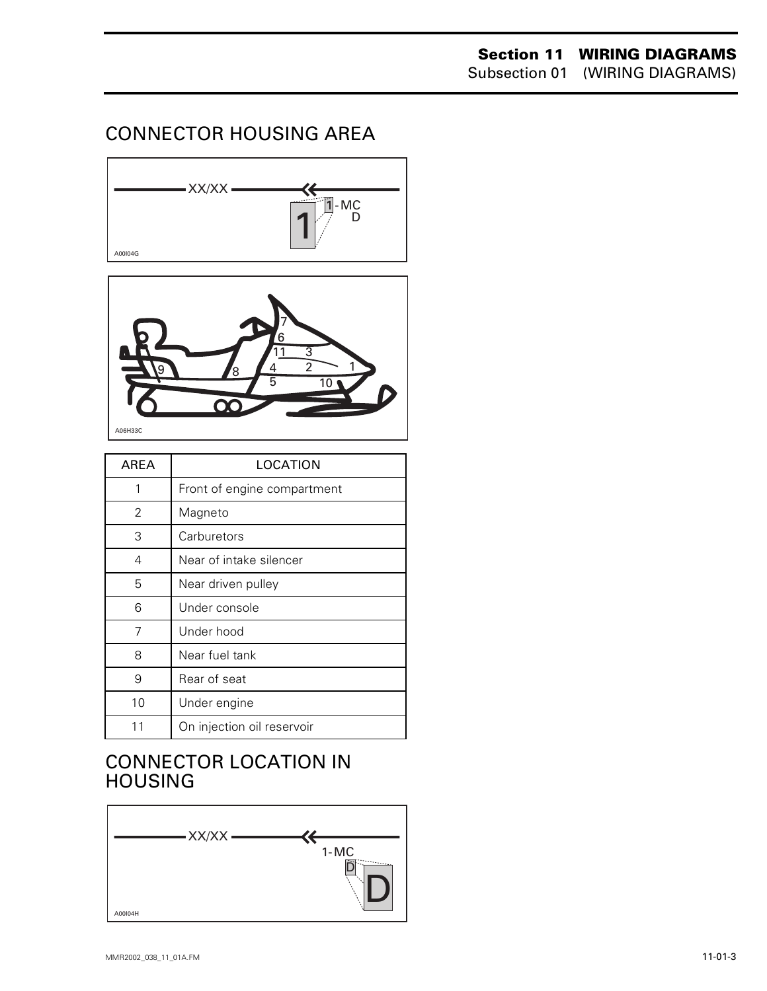#### CONNECTOR HOUSING AREA





| AREA | LOCATION                    |
|------|-----------------------------|
| 1    | Front of engine compartment |
| 2    | Magneto                     |
| 3    | Carburetors                 |
| 4    | Near of intake silencer     |
| 5    | Near driven pulley          |
| 6    | Under console               |
| 7    | Under hood                  |
| 8    | Near fuel tank              |
| 9    | Rear of seat                |
| 10   | Under engine                |
| 11   | On injection oil reservoir  |

#### CONNECTOR LOCATION IN HOUSING

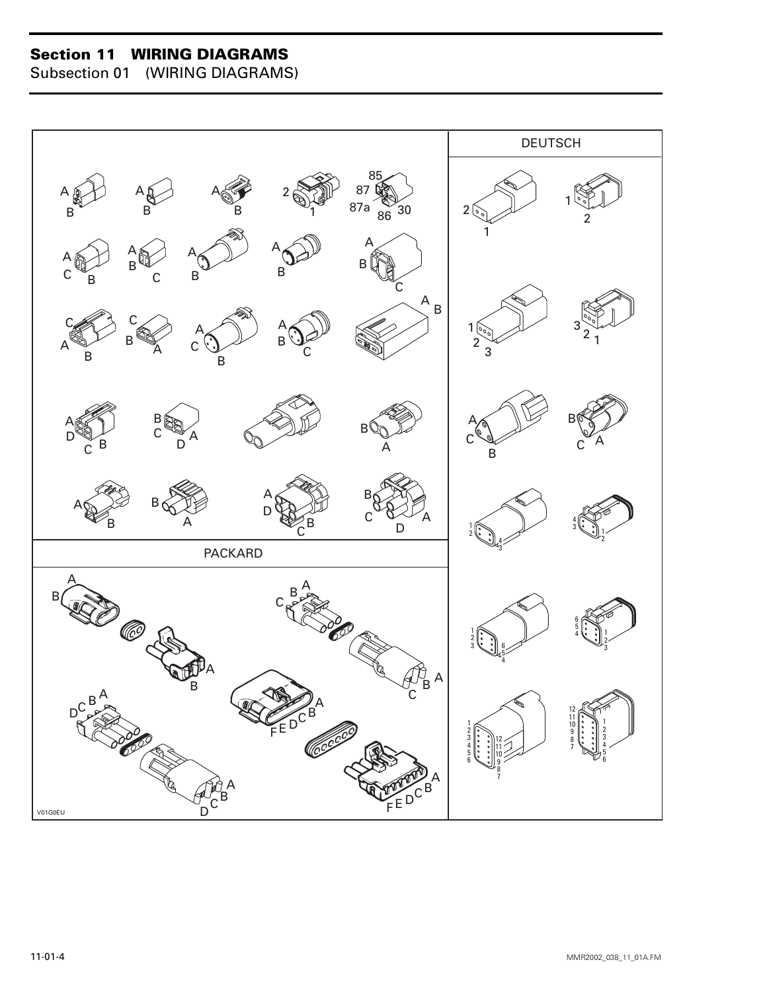Subsection 01 (WIRING DIAGRAMS)

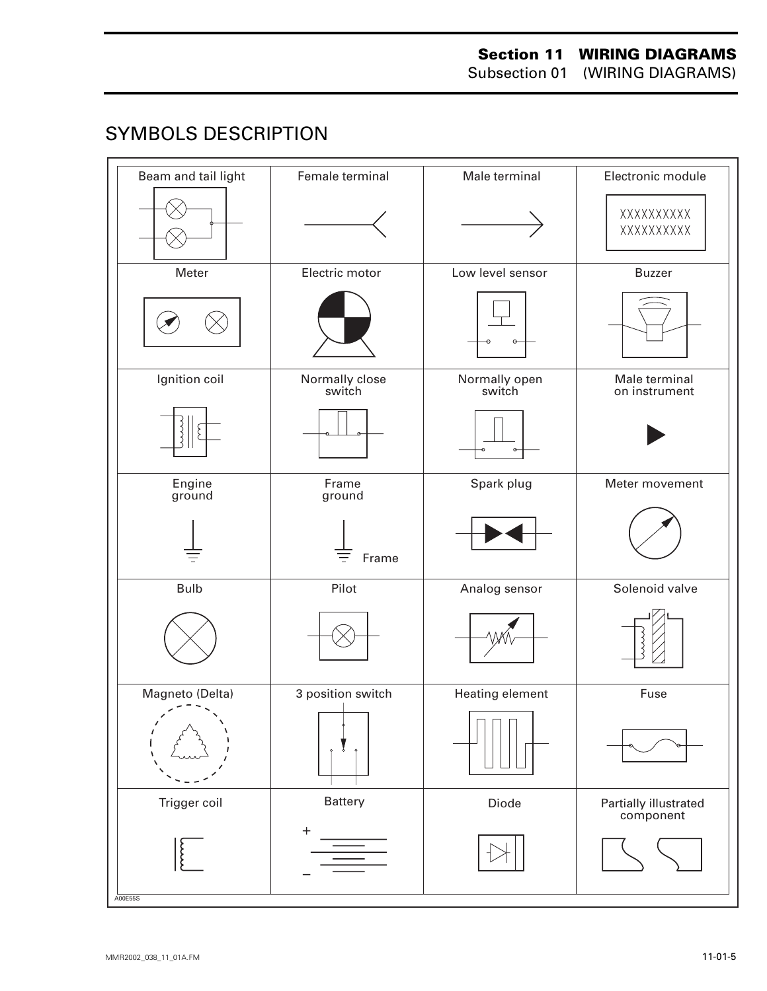#### **SYMBOLS DESCRIPTION**

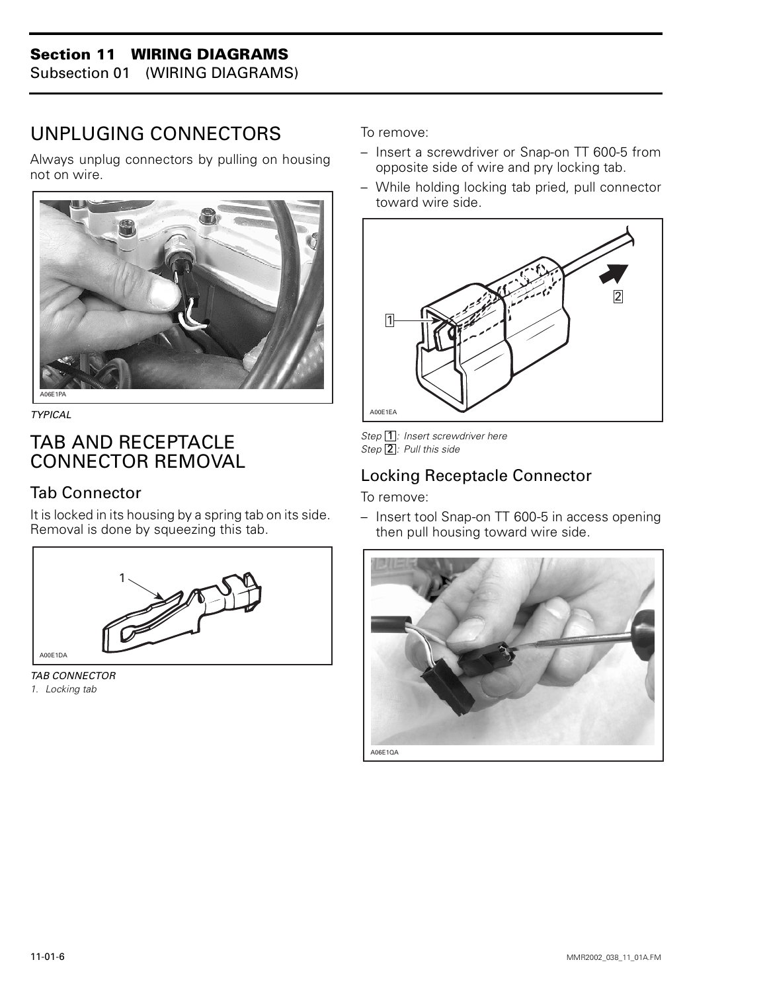Subsection 01 (WIRING DIAGRAMS)

#### UNPLUGING CONNECTORS

Always unplug connectors by pulling on housing not on wire.



*TYPICAL*

#### TAB AND RECEPTACLE CONNECTOR REMOVAL

#### Tab Connector

It is locked in its housing by a spring tab on its side. Removal is done by squeezing this tab.



*TAB CONNECTOR 1. Locking tab*

To remove:

- Insert a screwdriver or Snap-on TT 600-5 from opposite side of wire and pry locking tab.
- While holding locking tab pried, pull connector toward wire side.



Step 1: Insert screwdriver here Step 2: Pull this side

#### Locking Receptacle Connector

To remove:

– Insert tool Snap-on TT 600-5 in access opening then pull housing toward wire side.

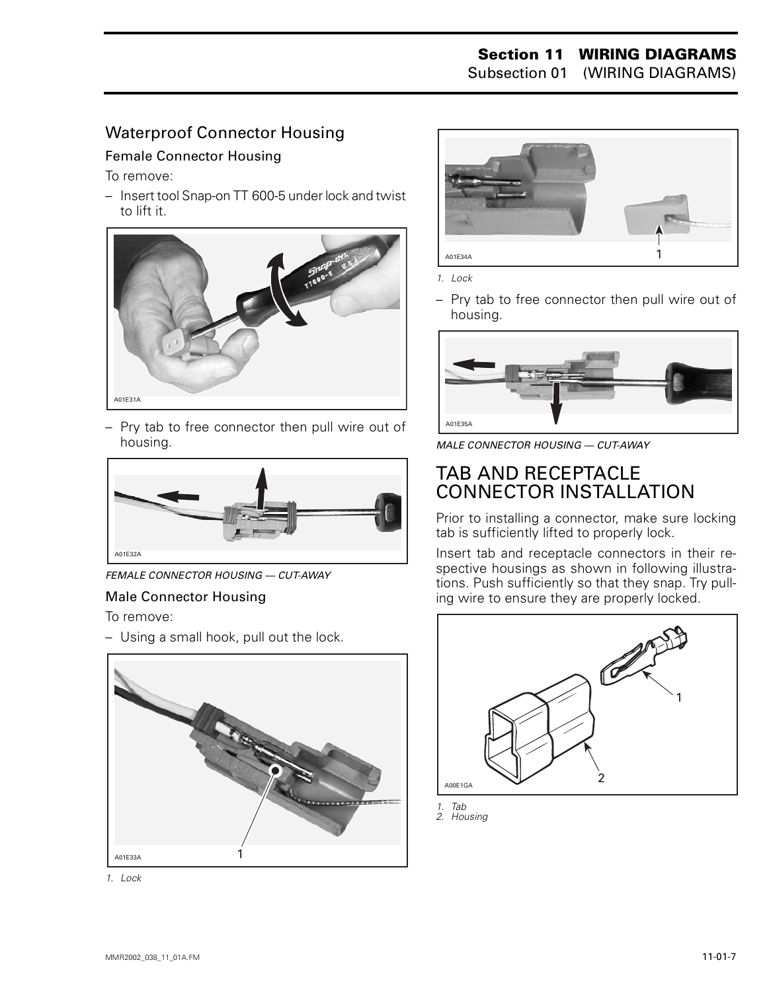#### Waterproof Connector Housing

#### Female Connector Housing

To remove:

– Insert tool Snap-on TT 600-5 under lock and twist to lift it.



– Pry tab to free connector then pull wire out of housing.



*FEMALE CONNECTOR HOUSING — CUT-AWAY*

#### Male Connector Housing

To remove:

– Using a small hook, pull out the lock.



*1. Lock*



*1. Lock*

– Pry tab to free connector then pull wire out of housing.



*MALE CONNECTOR HOUSING — CUT-AWAY*

#### TAB AND RECEPTACLE CONNECTOR INSTALLATION

Prior to installing a connector, make sure locking tab is sufficiently lifted to properly lock.

Insert tab and receptacle connectors in their respective housings as shown in following illustrations. Push sufficiently so that they snap. Try pulling wire to ensure they are properly locked.



*1. Tab 2. Housing*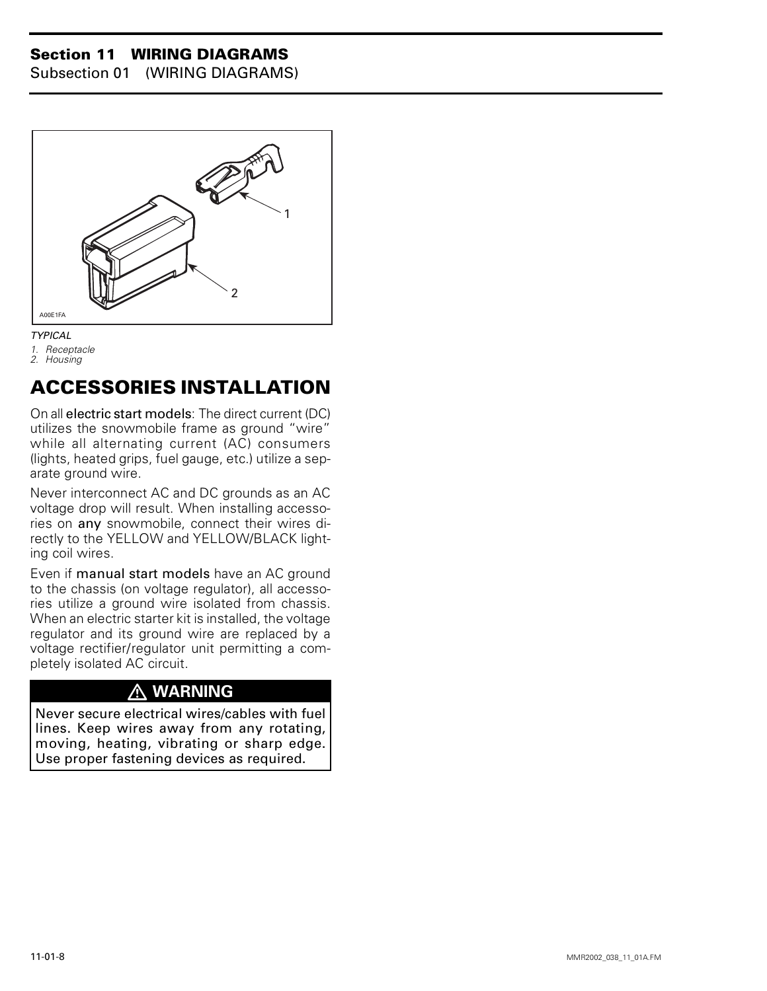Subsection 01 (WIRING DIAGRAMS)



#### *TYPICAL*

- *1. Receptacle*
- *2. Housing*

#### **ACCESSORIES INSTALLATION**

On all electric start models: The direct current (DC) utilizes the snowmobile frame as ground "wire" while all alternating current (AC) consumers (lights, heated grips, fuel gauge, etc.) utilize a separate ground wire.

Never interconnect AC and DC grounds as an AC voltage drop will result. When installing accessories on any snowmobile, connect their wires directly to the YELLOW and YELLOW/BLACK lighting coil wires.

Even if manual start models have an AC ground to the chassis (on voltage regulator), all accessories utilize a ground wire isolated from chassis. When an electric starter kit is installed, the voltage regulator and its ground wire are replaced by a voltage rectifier/regulator unit permitting a completely isolated AC circuit.

#### **WARNING**

Never secure electrical wires/cables with fuel lines. Keep wires away from any rotating, moving, heating, vibrating or sharp edge. Use proper fastening devices as required.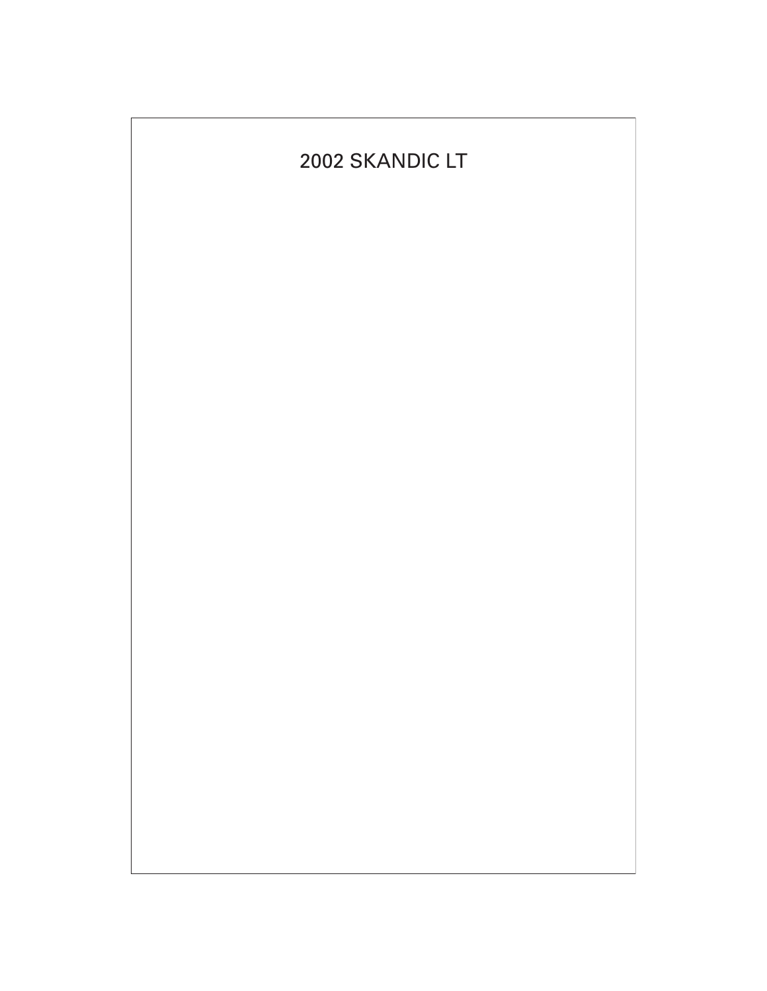### 2002 SKANDIC LT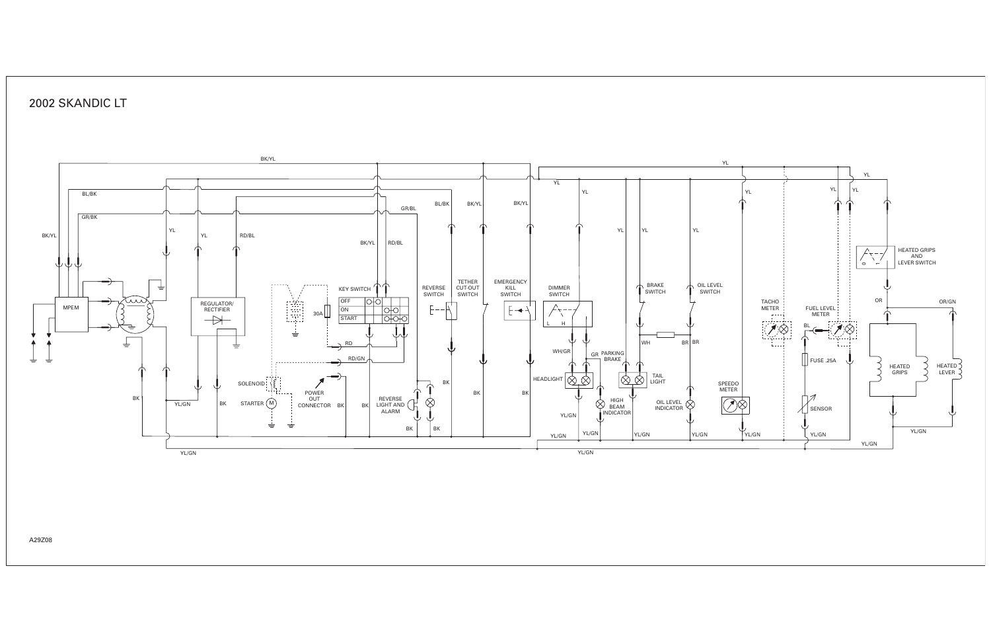

#### 2002 SKANDIC LT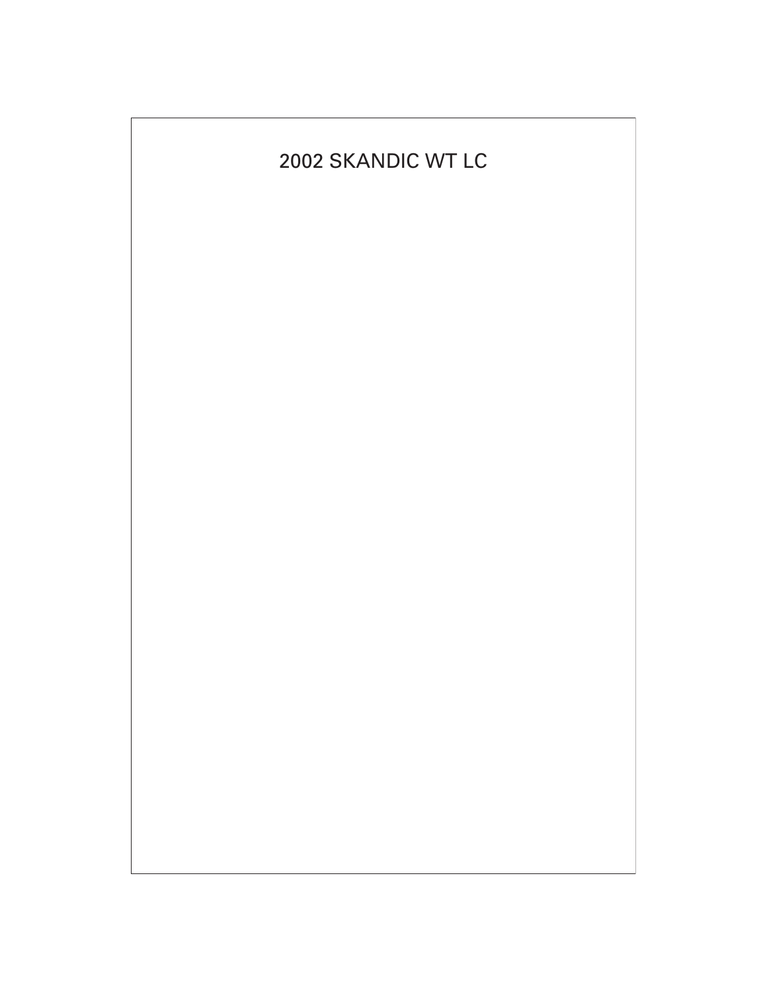#### 2002 SKANDIC WT LC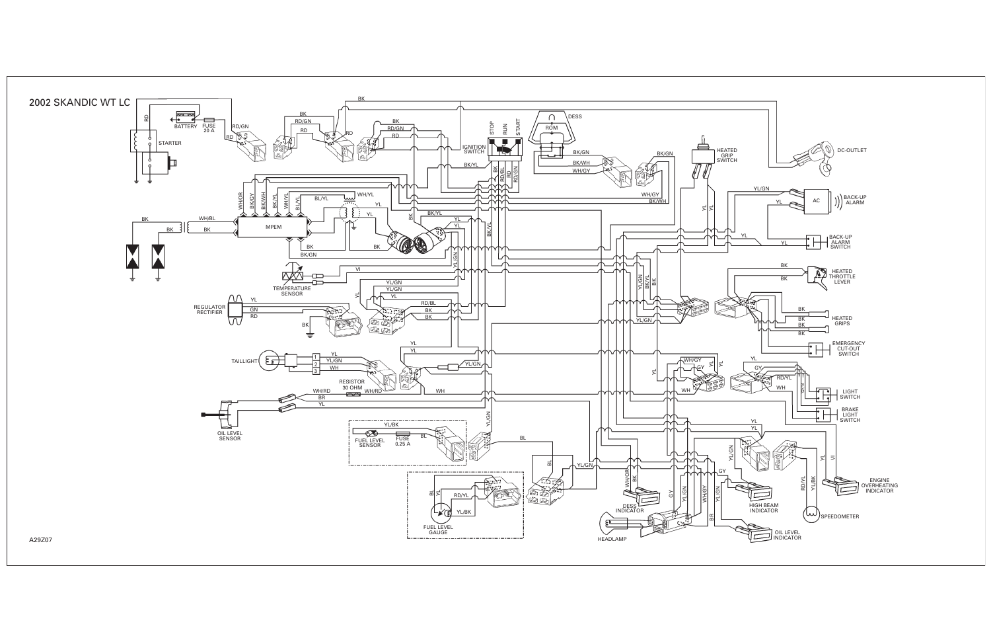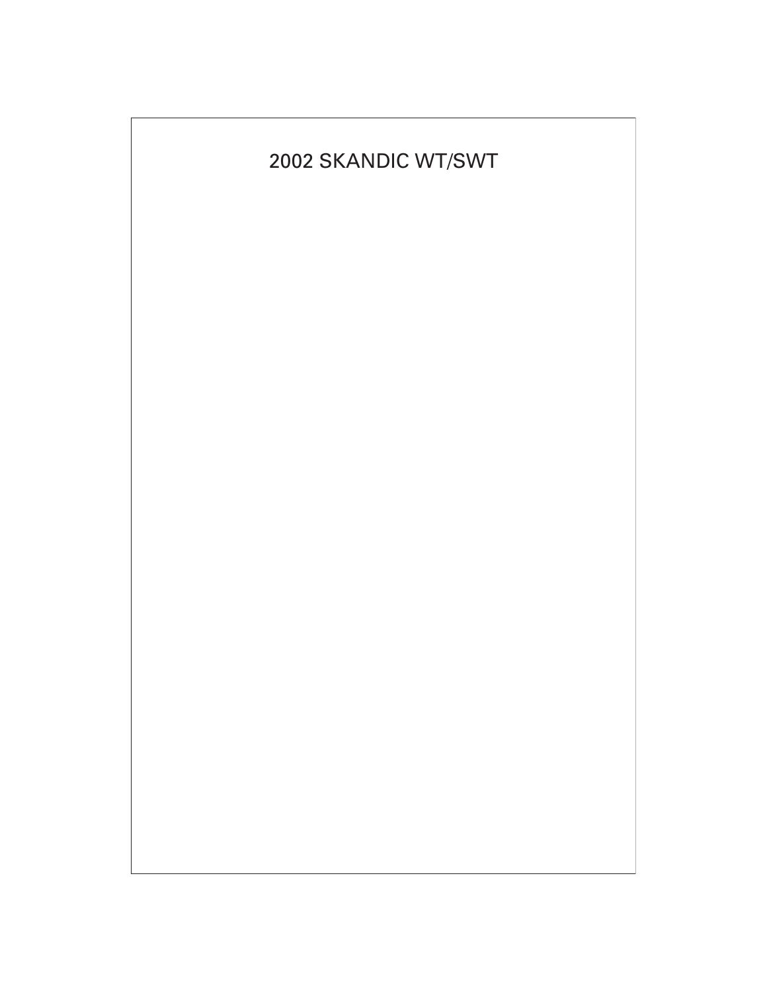#### 2002 SKANDIC WT/SWT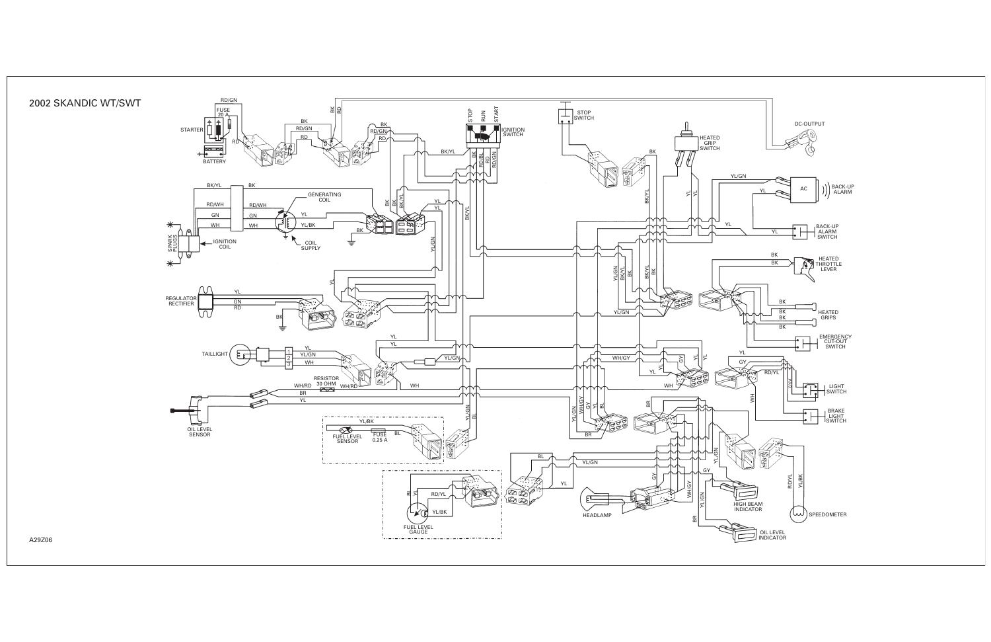

#### 2002 SKANDIC WT/SWT